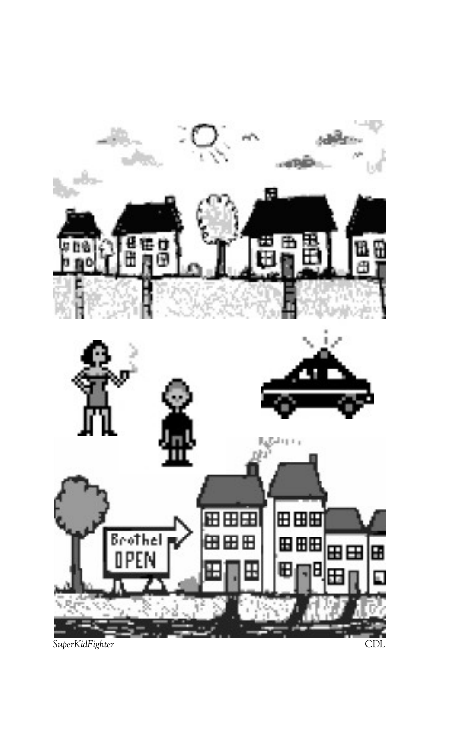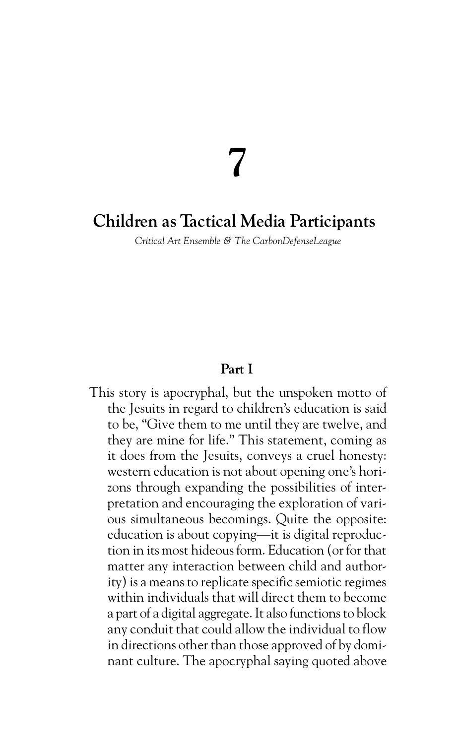# **7**

## **Children as Tactical Media Participants**

*Critical Art Ensemble & The CarbonDefenseLeague*

## **Part I**

This story is apocryphal, but the unspoken motto of the Jesuits in regard to children's education is said to be, "Give them to me until they are twelve, and they are mine for life." This statement, coming as it does from the Jesuits, conveys a cruel honesty: western education is not about opening one's horizons through expanding the possibilities of interpretation and encouraging the exploration of various simultaneous becomings. Quite the opposite: education is about copying—it is digital reproduction in its most hideous form. Education (or for that matter any interaction between child and authority) is a means to replicate specific semiotic regimes within individuals that will direct them to become a part of a digital aggregate. It also functions to block any conduit that could allow the individual to flow in directions other than those approved of by dominant culture. The apocryphal saying quoted above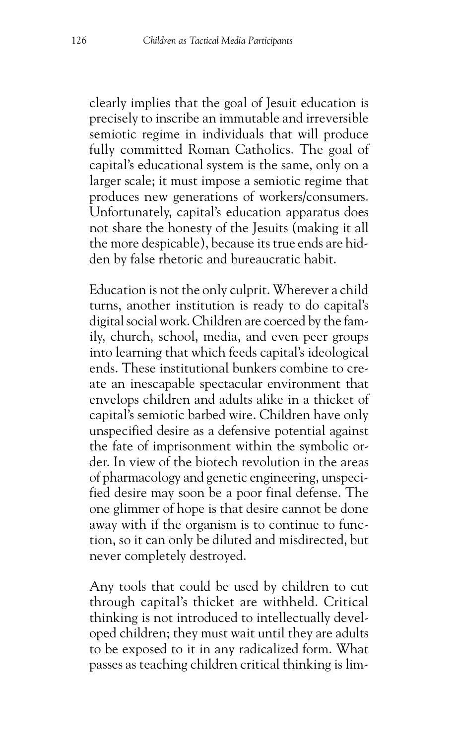clearly implies that the goal of Jesuit education is precisely to inscribe an immutable and irreversible semiotic regime in individuals that will produce fully committed Roman Catholics. The goal of capital's educational system is the same, only on a larger scale; it must impose a semiotic regime that produces new generations of workers/consumers. Unfortunately, capital's education apparatus does not share the honesty of the Jesuits (making it all the more despicable), because its true ends are hidden by false rhetoric and bureaucratic habit.

Education is not the only culprit. Wherever a child turns, another institution is ready to do capital's digital social work. Children are coerced by the family, church, school, media, and even peer groups into learning that which feeds capital's ideological ends. These institutional bunkers combine to create an inescapable spectacular environment that envelops children and adults alike in a thicket of capital's semiotic barbed wire. Children have only unspecified desire as a defensive potential against the fate of imprisonment within the symbolic order. In view of the biotech revolution in the areas of pharmacology and genetic engineering, unspecified desire may soon be a poor final defense. The one glimmer of hope is that desire cannot be done away with if the organism is to continue to function, so it can only be diluted and misdirected, but never completely destroyed.

Any tools that could be used by children to cut through capital's thicket are withheld. Critical thinking is not introduced to intellectually developed children; they must wait until they are adults to be exposed to it in any radicalized form. What passes as teaching children critical thinking is lim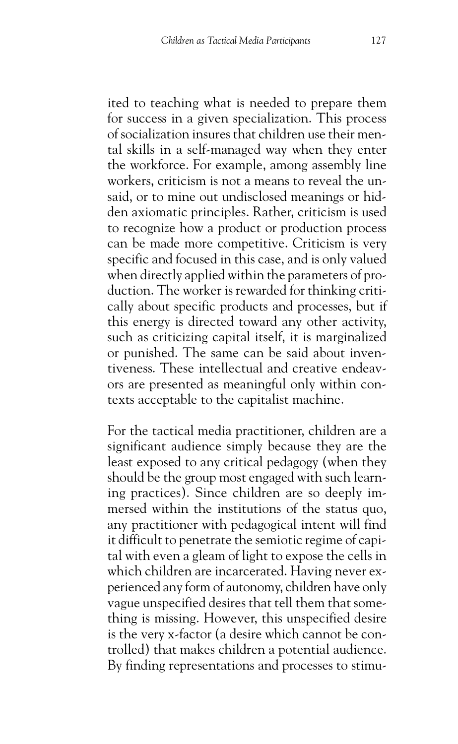ited to teaching what is needed to prepare them for success in a given specialization. This process of socialization insures that children use their mental skills in a self-managed way when they enter the workforce. For example, among assembly line workers, criticism is not a means to reveal the unsaid, or to mine out undisclosed meanings or hidden axiomatic principles. Rather, criticism is used to recognize how a product or production process can be made more competitive. Criticism is very specific and focused in this case, and is only valued when directly applied within the parameters of production. The worker is rewarded for thinking critically about specific products and processes, but if this energy is directed toward any other activity, such as criticizing capital itself, it is marginalized or punished. The same can be said about inventiveness. These intellectual and creative endeavors are presented as meaningful only within contexts acceptable to the capitalist machine.

For the tactical media practitioner, children are a significant audience simply because they are the least exposed to any critical pedagogy (when they should be the group most engaged with such learning practices). Since children are so deeply immersed within the institutions of the status quo, any practitioner with pedagogical intent will find it difficult to penetrate the semiotic regime of capital with even a gleam of light to expose the cells in which children are incarcerated. Having never experienced any form of autonomy, children have only vague unspecified desires that tell them that something is missing. However, this unspecified desire is the very x-factor (a desire which cannot be controlled) that makes children a potential audience. By finding representations and processes to stimu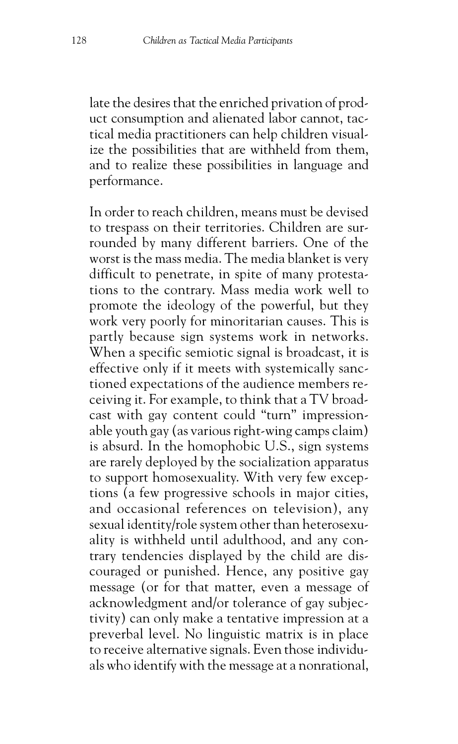late the desires that the enriched privation of product consumption and alienated labor cannot, tactical media practitioners can help children visualize the possibilities that are withheld from them, and to realize these possibilities in language and performance.

In order to reach children, means must be devised to trespass on their territories. Children are surrounded by many different barriers. One of the worst is the mass media. The media blanket is very difficult to penetrate, in spite of many protestations to the contrary. Mass media work well to promote the ideology of the powerful, but they work very poorly for minoritarian causes. This is partly because sign systems work in networks. When a specific semiotic signal is broadcast, it is effective only if it meets with systemically sanctioned expectations of the audience members receiving it. For example, to think that a TV broadcast with gay content could "turn" impressionable youth gay (as various right-wing camps claim) is absurd. In the homophobic U.S., sign systems are rarely deployed by the socialization apparatus to support homosexuality. With very few exceptions (a few progressive schools in major cities, and occasional references on television), any sexual identity/role system other than heterosexuality is withheld until adulthood, and any contrary tendencies displayed by the child are discouraged or punished. Hence, any positive gay message (or for that matter, even a message of acknowledgment and/or tolerance of gay subjectivity) can only make a tentative impression at a preverbal level. No linguistic matrix is in place to receive alternative signals. Even those individuals who identify with the message at a nonrational,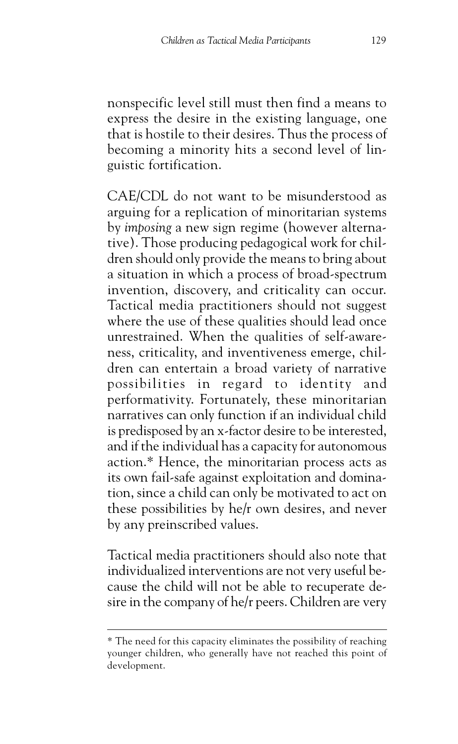nonspecific level still must then find a means to express the desire in the existing language, one that is hostile to their desires. Thus the process of becoming a minority hits a second level of linguistic fortification.

CAE/CDL do not want to be misunderstood as arguing for a replication of minoritarian systems by *imposing* a new sign regime (however alternative). Those producing pedagogical work for children should only provide the means to bring about a situation in which a process of broad-spectrum invention, discovery, and criticality can occur. Tactical media practitioners should not suggest where the use of these qualities should lead once unrestrained. When the qualities of self-awareness, criticality, and inventiveness emerge, children can entertain a broad variety of narrative possibilities in regard to identity and performativity. Fortunately, these minoritarian narratives can only function if an individual child is predisposed by an x-factor desire to be interested, and if the individual has a capacity for autonomous action.\* Hence, the minoritarian process acts as its own fail-safe against exploitation and domination, since a child can only be motivated to act on these possibilities by he/r own desires, and never by any preinscribed values.

Tactical media practitioners should also note that individualized interventions are not very useful because the child will not be able to recuperate desire in the company of he/r peers. Children are very

<sup>\*</sup> The need for this capacity eliminates the possibility of reaching younger children, who generally have not reached this point of development.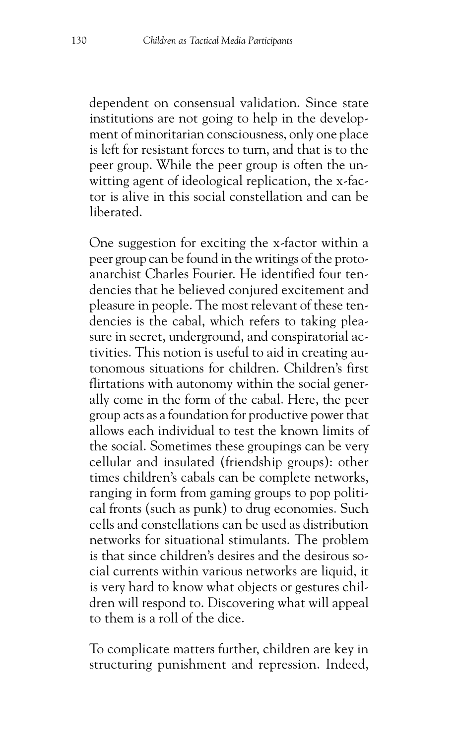dependent on consensual validation. Since state institutions are not going to help in the development of minoritarian consciousness, only one place is left for resistant forces to turn, and that is to the peer group. While the peer group is often the unwitting agent of ideological replication, the x-factor is alive in this social constellation and can be liberated.

One suggestion for exciting the x-factor within a peer group can be found in the writings of the protoanarchist Charles Fourier. He identified four tendencies that he believed conjured excitement and pleasure in people. The most relevant of these tendencies is the cabal, which refers to taking pleasure in secret, underground, and conspiratorial activities. This notion is useful to aid in creating autonomous situations for children. Children's first flirtations with autonomy within the social generally come in the form of the cabal. Here, the peer group acts as a foundation for productive power that allows each individual to test the known limits of the social. Sometimes these groupings can be very cellular and insulated (friendship groups): other times children's cabals can be complete networks, ranging in form from gaming groups to pop political fronts (such as punk) to drug economies. Such cells and constellations can be used as distribution networks for situational stimulants. The problem is that since children's desires and the desirous social currents within various networks are liquid, it is very hard to know what objects or gestures children will respond to. Discovering what will appeal to them is a roll of the dice.

To complicate matters further, children are key in structuring punishment and repression. Indeed,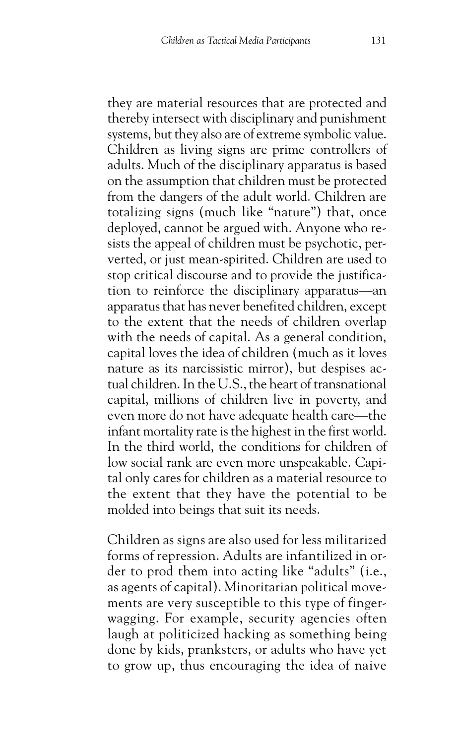they are material resources that are protected and thereby intersect with disciplinary and punishment systems, but they also are of extreme symbolic value. Children as living signs are prime controllers of adults. Much of the disciplinary apparatus is based on the assumption that children must be protected from the dangers of the adult world. Children are totalizing signs (much like "nature") that, once deployed, cannot be argued with. Anyone who resists the appeal of children must be psychotic, perverted, or just mean-spirited. Children are used to stop critical discourse and to provide the justification to reinforce the disciplinary apparatus—an apparatus that has never benefited children, except to the extent that the needs of children overlap with the needs of capital. As a general condition, capital loves the idea of children (much as it loves nature as its narcissistic mirror), but despises actual children. In the U.S., the heart of transnational capital, millions of children live in poverty, and even more do not have adequate health care—the infant mortality rate is the highest in the first world. In the third world, the conditions for children of low social rank are even more unspeakable. Capital only cares for children as a material resource to the extent that they have the potential to be molded into beings that suit its needs.

Children as signs are also used for less militarized forms of repression. Adults are infantilized in order to prod them into acting like "adults" (i.e., as agents of capital). Minoritarian political movements are very susceptible to this type of fingerwagging. For example, security agencies often laugh at politicized hacking as something being done by kids, pranksters, or adults who have yet to grow up, thus encouraging the idea of naive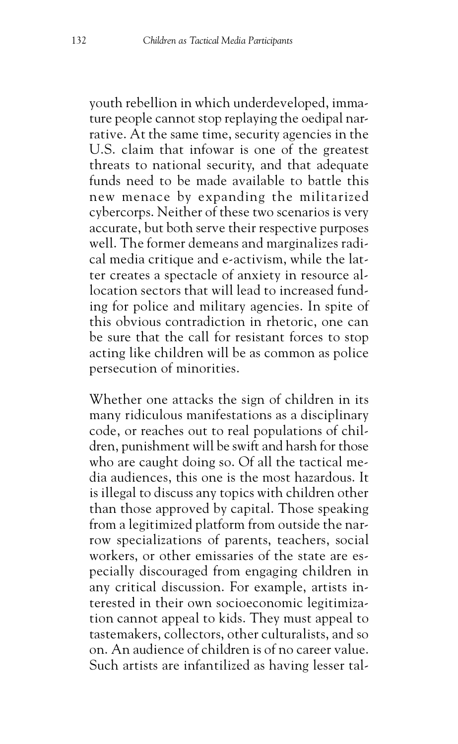youth rebellion in which underdeveloped, immature people cannot stop replaying the oedipal narrative. At the same time, security agencies in the U.S. claim that infowar is one of the greatest threats to national security, and that adequate funds need to be made available to battle this new menace by expanding the militarized cybercorps. Neither of these two scenarios is very accurate, but both serve their respective purposes well. The former demeans and marginalizes radical media critique and e-activism, while the latter creates a spectacle of anxiety in resource allocation sectors that will lead to increased funding for police and military agencies. In spite of this obvious contradiction in rhetoric, one can be sure that the call for resistant forces to stop acting like children will be as common as police persecution of minorities.

Whether one attacks the sign of children in its many ridiculous manifestations as a disciplinary code, or reaches out to real populations of children, punishment will be swift and harsh for those who are caught doing so. Of all the tactical media audiences, this one is the most hazardous. It is illegal to discuss any topics with children other than those approved by capital. Those speaking from a legitimized platform from outside the narrow specializations of parents, teachers, social workers, or other emissaries of the state are especially discouraged from engaging children in any critical discussion. For example, artists interested in their own socioeconomic legitimization cannot appeal to kids. They must appeal to tastemakers, collectors, other culturalists, and so on. An audience of children is of no career value. Such artists are infantilized as having lesser tal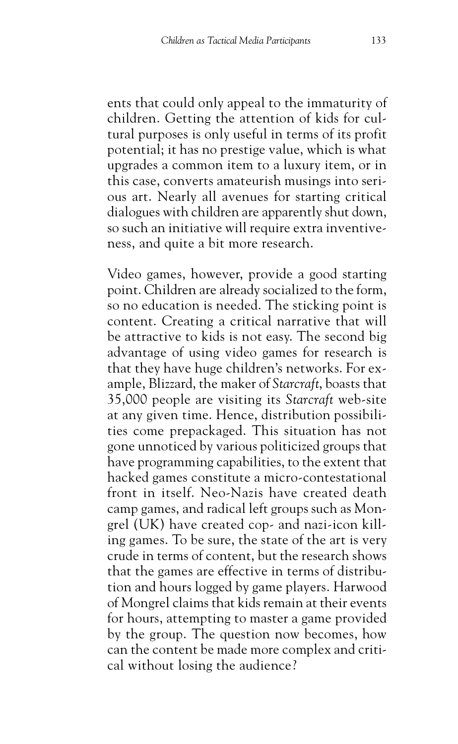ents that could only appeal to the immaturity of children. Getting the attention of kids for cultural purposes is only useful in terms of its profit potential; it has no prestige value, which is what upgrades a common item to a luxury item, or in this case, converts amateurish musings into serious art. Nearly all avenues for starting critical dialogues with children are apparently shut down, so such an initiative will require extra inventiveness, and quite a bit more research.

Video games, however, provide a good starting point. Children are already socialized to the form, so no education is needed. The sticking point is content. Creating a critical narrative that will be attractive to kids is not easy. The second big advantage of using video games for research is that they have huge children's networks. For example, Blizzard, the maker of *Starcraft*, boasts that 35,000 people are visiting its *Starcraft* web-site at any given time. Hence, distribution possibilities come prepackaged. This situation has not gone unnoticed by various politicized groups that have programming capabilities, to the extent that hacked games constitute a micro-contestational front in itself. Neo-Nazis have created death camp games, and radical left groups such as Mongrel (UK) have created cop- and nazi-icon killing games. To be sure, the state of the art is very crude in terms of content, but the research shows that the games are effective in terms of distribution and hours logged by game players. Harwood of Mongrel claims that kids remain at their events for hours, attempting to master a game provided by the group. The question now becomes, how can the content be made more complex and critical without losing the audience?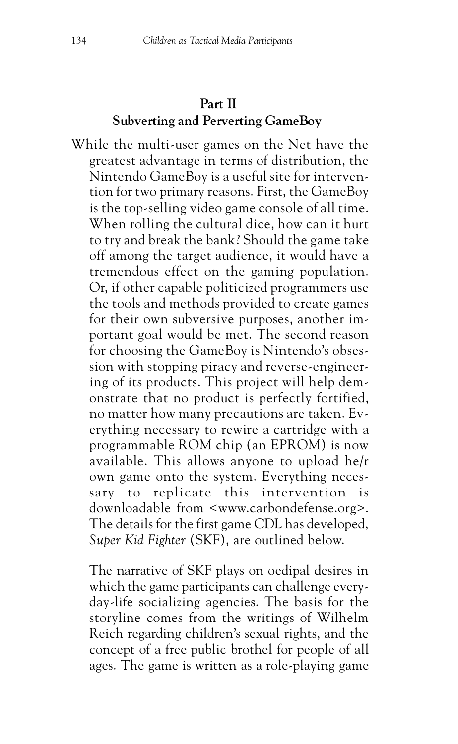## **Part II Subverting and Perverting GameBoy**

While the multi-user games on the Net have the greatest advantage in terms of distribution, the Nintendo GameBoy is a useful site for intervention for two primary reasons. First, the GameBoy is the top-selling video game console of all time. When rolling the cultural dice, how can it hurt to try and break the bank? Should the game take off among the target audience, it would have a tremendous effect on the gaming population. Or, if other capable politicized programmers use the tools and methods provided to create games for their own subversive purposes, another important goal would be met. The second reason for choosing the GameBoy is Nintendo's obsession with stopping piracy and reverse-engineering of its products. This project will help demonstrate that no product is perfectly fortified, no matter how many precautions are taken. Everything necessary to rewire a cartridge with a programmable ROM chip (an EPROM) is now available. This allows anyone to upload he/r own game onto the system. Everything necessary to replicate this intervention is downloadable from <www.carbondefense.org>. The details for the first game CDL has developed, *Super Kid Fighter* (SKF), are outlined below.

The narrative of SKF plays on oedipal desires in which the game participants can challenge everyday-life socializing agencies. The basis for the storyline comes from the writings of Wilhelm Reich regarding children's sexual rights, and the concept of a free public brothel for people of all ages. The game is written as a role-playing game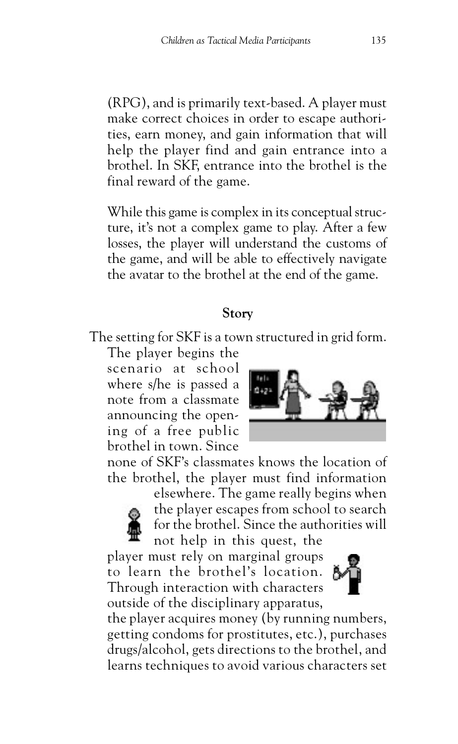(RPG), and is primarily text-based. A player must make correct choices in order to escape authorities, earn money, and gain information that will help the player find and gain entrance into a brothel. In SKF, entrance into the brothel is the final reward of the game.

While this game is complex in its conceptual structure, it's not a complex game to play. After a few losses, the player will understand the customs of the game, and will be able to effectively navigate the avatar to the brothel at the end of the game.

#### **Story**

The setting for SKF is a town structured in grid form.

The player begins the scenario at school where s/he is passed a note from a classmate announcing the opening of a free public brothel in town. Since



none of SKF's classmates knows the location of the brothel, the player must find information



elsewhere. The game really begins when the player escapes from school to search for the brothel. Since the authorities will not help in this quest, the

player must rely on marginal groups to learn the brothel's location. Through interaction with characters outside of the disciplinary apparatus,



the player acquires money (by running numbers, getting condoms for prostitutes, etc.), purchases drugs/alcohol, gets directions to the brothel, and learns techniques to avoid various characters set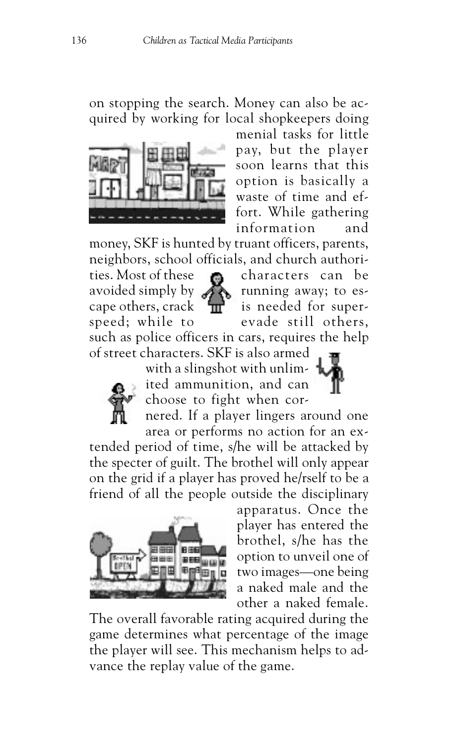on stopping the search. Money can also be acquired by working for local shopkeepers doing



menial tasks for little pay, but the player soon learns that this option is basically a waste of time and effort. While gathering information and

money, SKF is hunted by truant officers, parents, neighbors, school officials, and church authori-

ties. Most of these  $\bullet$  characters can be avoided simply by running away; to escape others, crack  $\mathbf{m}$  is needed for superspeed; while to evade still others,

such as police officers in cars, requires the help of street characters. SKF is also armed



with a slingshot with unlimited ammunition, and can choose to fight when cor-

nered. If a player lingers around one area or performs no action for an ex-

tended period of time, s/he will be attacked by the specter of guilt. The brothel will only appear on the grid if a player has proved he/rself to be a friend of all the people outside the disciplinary



apparatus. Once the player has entered the brothel, s/he has the option to unveil one of two images—one being a naked male and the other a naked female.

The overall favorable rating acquired during the game determines what percentage of the image the player will see. This mechanism helps to advance the replay value of the game.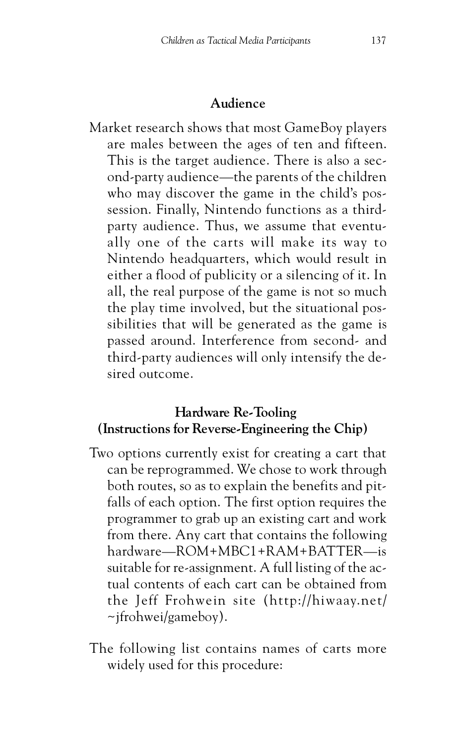#### **Audience**

Market research shows that most GameBoy players are males between the ages of ten and fifteen. This is the target audience. There is also a second-party audience—the parents of the children who may discover the game in the child's possession. Finally, Nintendo functions as a thirdparty audience. Thus, we assume that eventually one of the carts will make its way to Nintendo headquarters, which would result in either a flood of publicity or a silencing of it. In all, the real purpose of the game is not so much the play time involved, but the situational possibilities that will be generated as the game is passed around. Interference from second- and third-party audiences will only intensify the desired outcome.

## **Hardware Re-Tooling (Instructions for Reverse-Engineering the Chip)**

- Two options currently exist for creating a cart that can be reprogrammed. We chose to work through both routes, so as to explain the benefits and pitfalls of each option. The first option requires the programmer to grab up an existing cart and work from there. Any cart that contains the following hardware—ROM+MBC1+RAM+BATTER—is suitable for re-assignment. A full listing of the actual contents of each cart can be obtained from the Jeff Frohwein site (http://hiwaay.net/ ~jfrohwei/gameboy).
- The following list contains names of carts more widely used for this procedure: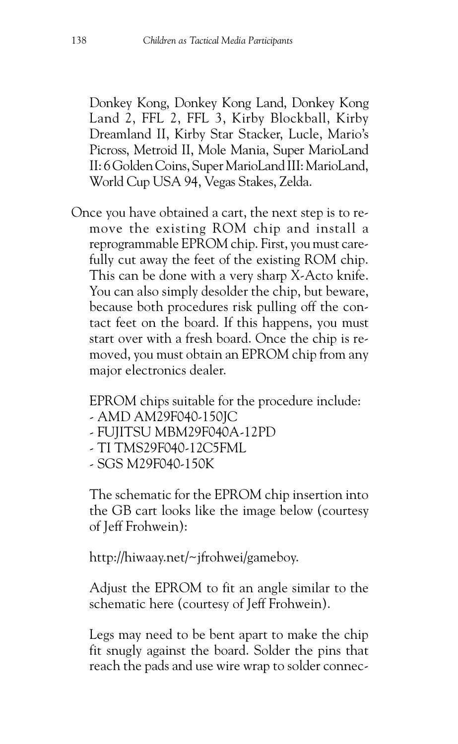Donkey Kong, Donkey Kong Land, Donkey Kong Land 2, FFL 2, FFL 3, Kirby Blockball, Kirby Dreamland II, Kirby Star Stacker, Lucle, Mario's Picross, Metroid II, Mole Mania, Super MarioLand II: 6 Golden Coins, Super MarioLand III: MarioLand, World Cup USA 94, Vegas Stakes, Zelda.

Once you have obtained a cart, the next step is to remove the existing ROM chip and install a reprogrammable EPROM chip. First, you must carefully cut away the feet of the existing ROM chip. This can be done with a very sharp X-Acto knife. You can also simply desolder the chip, but beware, because both procedures risk pulling off the contact feet on the board. If this happens, you must start over with a fresh board. Once the chip is removed, you must obtain an EPROM chip from any major electronics dealer.

EPROM chips suitable for the procedure include:

- AMD AM29F040-150JC
- FUJITSU MBM29F040A-12PD
- TI TMS29F040-12C5FML
- SGS M29F040-150K

The schematic for the EPROM chip insertion into the GB cart looks like the image below (courtesy of Jeff Frohwein):

http://hiwaay.net/~jfrohwei/gameboy.

Adjust the EPROM to fit an angle similar to the schematic here (courtesy of Jeff Frohwein).

Legs may need to be bent apart to make the chip fit snugly against the board. Solder the pins that reach the pads and use wire wrap to solder connec-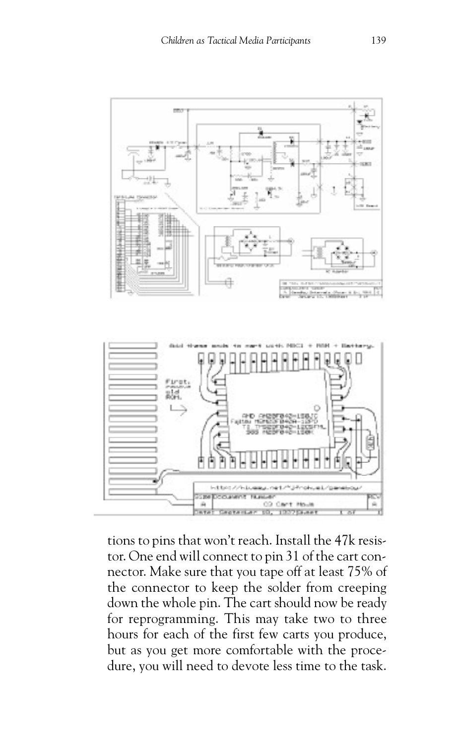

tions to pins that won't reach. Install the 47k resistor. One end will connect to pin 31 of the cart connector. Make sure that you tape off at least 75% of the connector to keep the solder from creeping down the whole pin. The cart should now be ready for reprogramming. This may take two to three hours for each of the first few carts you produce, but as you get more comfortable with the procedure, you will need to devote less time to the task.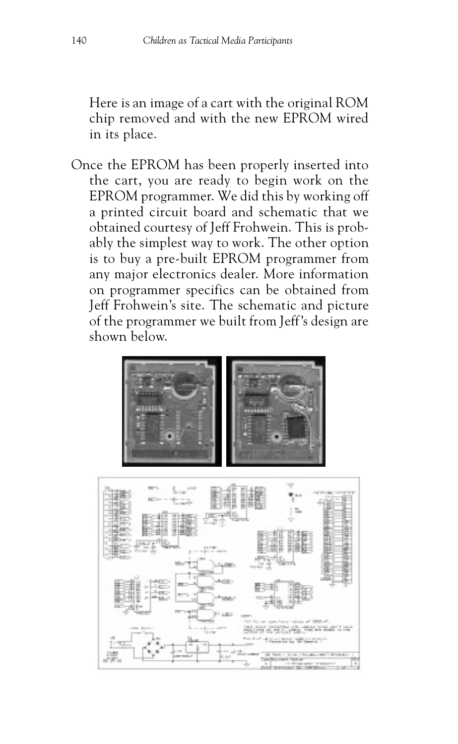Here is an image of a cart with the original ROM chip removed and with the new EPROM wired in its place.

Once the EPROM has been properly inserted into the cart, you are ready to begin work on the EPROM programmer. We did this by working off a printed circuit board and schematic that we obtained courtesy of Jeff Frohwein. This is probably the simplest way to work. The other option is to buy a pre-built EPROM programmer from any major electronics dealer. More information on programmer specifics can be obtained from Jeff Frohwein's site. The schematic and picture of the programmer we built from Jeff's design are shown below.



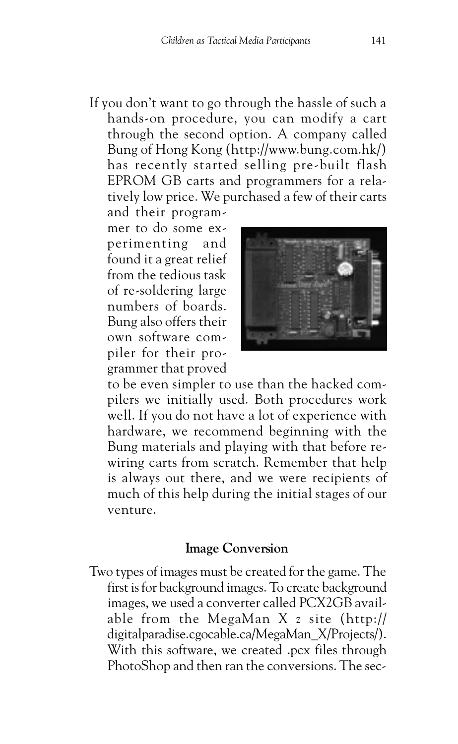If you don't want to go through the hassle of such a hands-on procedure, you can modify a cart through the second option. A company called Bung of Hong Kong (http://www.bung.com.hk/) has recently started selling pre-built flash EPROM GB carts and programmers for a relatively low price. We purchased a few of their carts

and their programmer to do some experimenting and found it a great relief from the tedious task of re-soldering large numbers of boards. Bung also offers their own software compiler for their programmer that proved



to be even simpler to use than the hacked compilers we initially used. Both procedures work well. If you do not have a lot of experience with hardware, we recommend beginning with the Bung materials and playing with that before rewiring carts from scratch. Remember that help is always out there, and we were recipients of much of this help during the initial stages of our venture.

#### **Image Conversion**

Two types of images must be created for the game. The first is for background images. To create background images, we used a converter called PCX2GB available from the MegaMan X z site (http:// digitalparadise.cgocable.ca/MegaMan\_X/Projects/). With this software, we created .pcx files through PhotoShop and then ran the conversions. The sec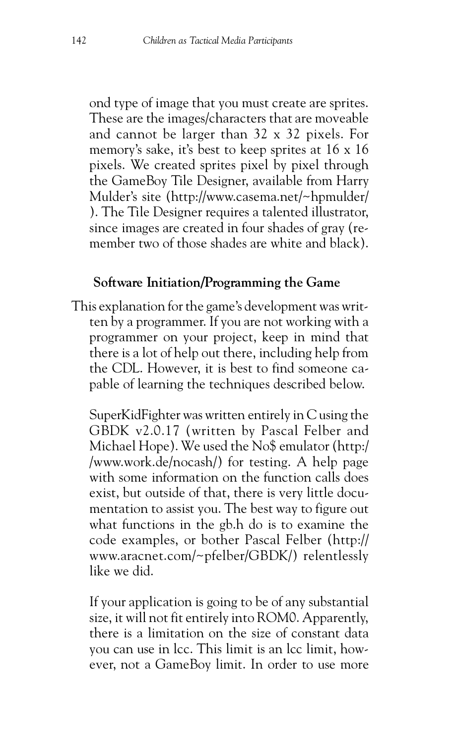ond type of image that you must create are sprites. These are the images/characters that are moveable and cannot be larger than 32 x 32 pixels. For memory's sake, it's best to keep sprites at 16 x 16 pixels. We created sprites pixel by pixel through the GameBoy Tile Designer, available from Harry Mulder's site (http://www.casema.net/~hpmulder/ ). The Tile Designer requires a talented illustrator, since images are created in four shades of gray (remember two of those shades are white and black).

### **Software Initiation/Programming the Game**

This explanation for the game's development was written by a programmer. If you are not working with a programmer on your project, keep in mind that there is a lot of help out there, including help from the CDL. However, it is best to find someone capable of learning the techniques described below.

SuperKidFighter was written entirely in C using the GBDK v2.0.17 (written by Pascal Felber and Michael Hope). We used the No\$ emulator (http:/ /www.work.de/nocash/) for testing. A help page with some information on the function calls does exist, but outside of that, there is very little documentation to assist you. The best way to figure out what functions in the gb.h do is to examine the code examples, or bother Pascal Felber (http:// www.aracnet.com/~pfelber/GBDK/) relentlessly like we did.

If your application is going to be of any substantial size, it will not fit entirely into ROM0. Apparently, there is a limitation on the size of constant data you can use in lcc. This limit is an lcc limit, however, not a GameBoy limit. In order to use more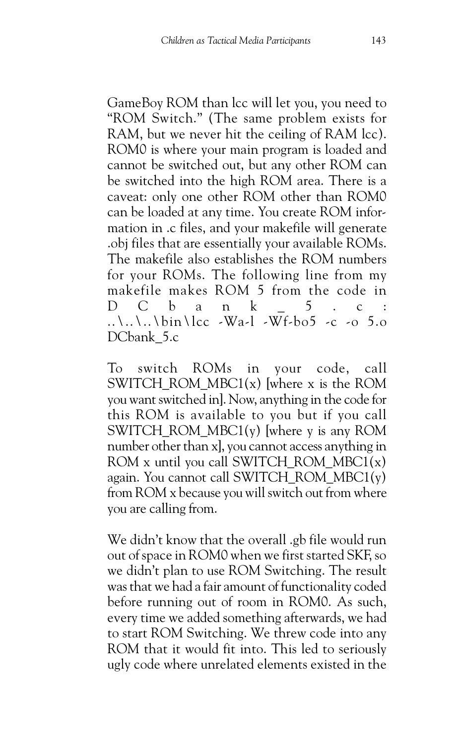GameBoy ROM than lcc will let you, you need to "ROM Switch." (The same problem exists for RAM, but we never hit the ceiling of RAM lcc). ROM0 is where your main program is loaded and cannot be switched out, but any other ROM can be switched into the high ROM area. There is a caveat: only one other ROM other than ROM0 can be loaded at any time. You create ROM information in .c files, and your makefile will generate .obj files that are essentially your available ROMs. The makefile also establishes the ROM numbers for your ROMs. The following line from my makefile makes ROM 5 from the code in D C b a n k \_ 5 . c : ..\..\..\bin\lcc -Wa-l -Wf-bo5 -c -o 5.o DCbank 5.c

To switch ROMs in your code, call SWITCH\_ROM\_MBC1(x) [where x is the ROM you want switched in]. Now, anything in the code for this ROM is available to you but if you call SWITCH\_ROM\_MBC1(y) [where y is any ROM number other than x], you cannot access anything in ROM x until you call SWITCH\_ROM\_MBC1(x) again. You cannot call SWITCH\_ROM\_MBC1(y) from ROM x because you will switch out from where you are calling from.

We didn't know that the overall .gb file would run out of space in ROM0 when we first started SKF, so we didn't plan to use ROM Switching. The result was that we had a fair amount of functionality coded before running out of room in ROM0. As such, every time we added something afterwards, we had to start ROM Switching. We threw code into any ROM that it would fit into. This led to seriously ugly code where unrelated elements existed in the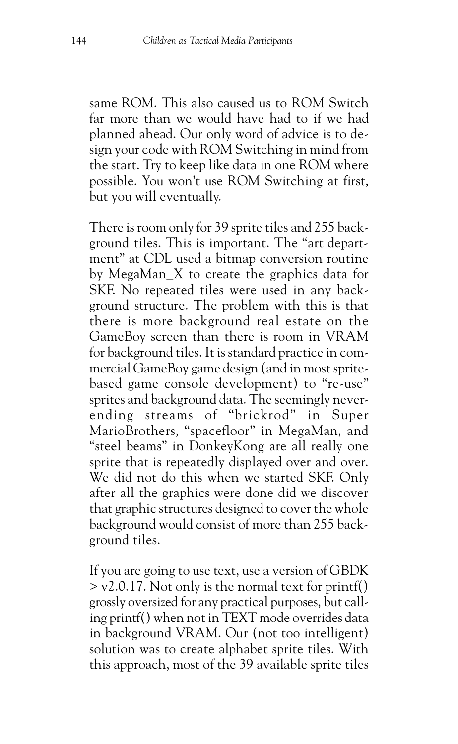same ROM. This also caused us to ROM Switch far more than we would have had to if we had planned ahead. Our only word of advice is to design your code with ROM Switching in mind from the start. Try to keep like data in one ROM where possible. You won't use ROM Switching at first, but you will eventually.

There is room only for 39 sprite tiles and 255 background tiles. This is important. The "art department" at CDL used a bitmap conversion routine by MegaMan\_X to create the graphics data for SKF. No repeated tiles were used in any background structure. The problem with this is that there is more background real estate on the GameBoy screen than there is room in VRAM for background tiles. It is standard practice in commercial GameBoy game design (and in most spritebased game console development) to "re-use" sprites and background data. The seemingly neverending streams of "brickrod" in Super MarioBrothers, "spacefloor" in MegaMan, and "steel beams" in DonkeyKong are all really one sprite that is repeatedly displayed over and over. We did not do this when we started SKF. Only after all the graphics were done did we discover that graphic structures designed to cover the whole background would consist of more than 255 background tiles.

If you are going to use text, use a version of GBDK > v2.0.17. Not only is the normal text for printf() grossly oversized for any practical purposes, but calling printf() when not in TEXT mode overrides data in background VRAM. Our (not too intelligent) solution was to create alphabet sprite tiles. With this approach, most of the 39 available sprite tiles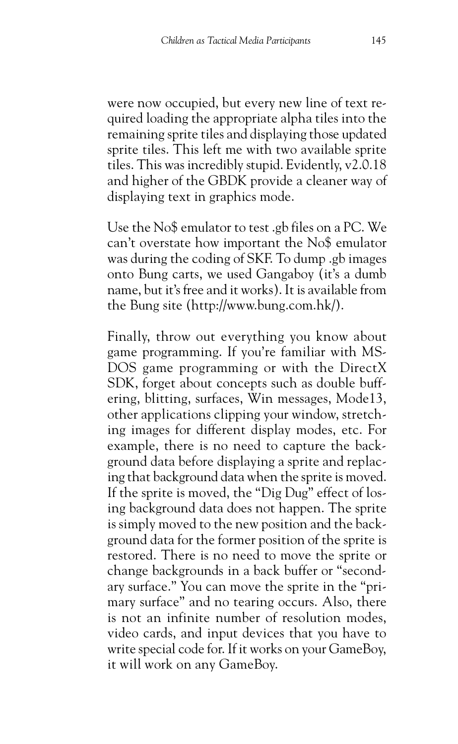were now occupied, but every new line of text required loading the appropriate alpha tiles into the remaining sprite tiles and displaying those updated sprite tiles. This left me with two available sprite tiles. This was incredibly stupid. Evidently, v2.0.18 and higher of the GBDK provide a cleaner way of displaying text in graphics mode.

Use the No\$ emulator to test .gb files on a PC. We can't overstate how important the No\$ emulator was during the coding of SKF. To dump .gb images onto Bung carts, we used Gangaboy (it's a dumb name, but it's free and it works). It is available from the Bung site (http://www.bung.com.hk/).

Finally, throw out everything you know about game programming. If you're familiar with MS-DOS game programming or with the DirectX SDK, forget about concepts such as double buffering, blitting, surfaces, Win messages, Mode13, other applications clipping your window, stretching images for different display modes, etc. For example, there is no need to capture the background data before displaying a sprite and replacing that background data when the sprite is moved. If the sprite is moved, the "Dig Dug" effect of losing background data does not happen. The sprite is simply moved to the new position and the background data for the former position of the sprite is restored. There is no need to move the sprite or change backgrounds in a back buffer or "secondary surface." You can move the sprite in the "primary surface" and no tearing occurs. Also, there is not an infinite number of resolution modes, video cards, and input devices that you have to write special code for. If it works on your GameBoy, it will work on any GameBoy.